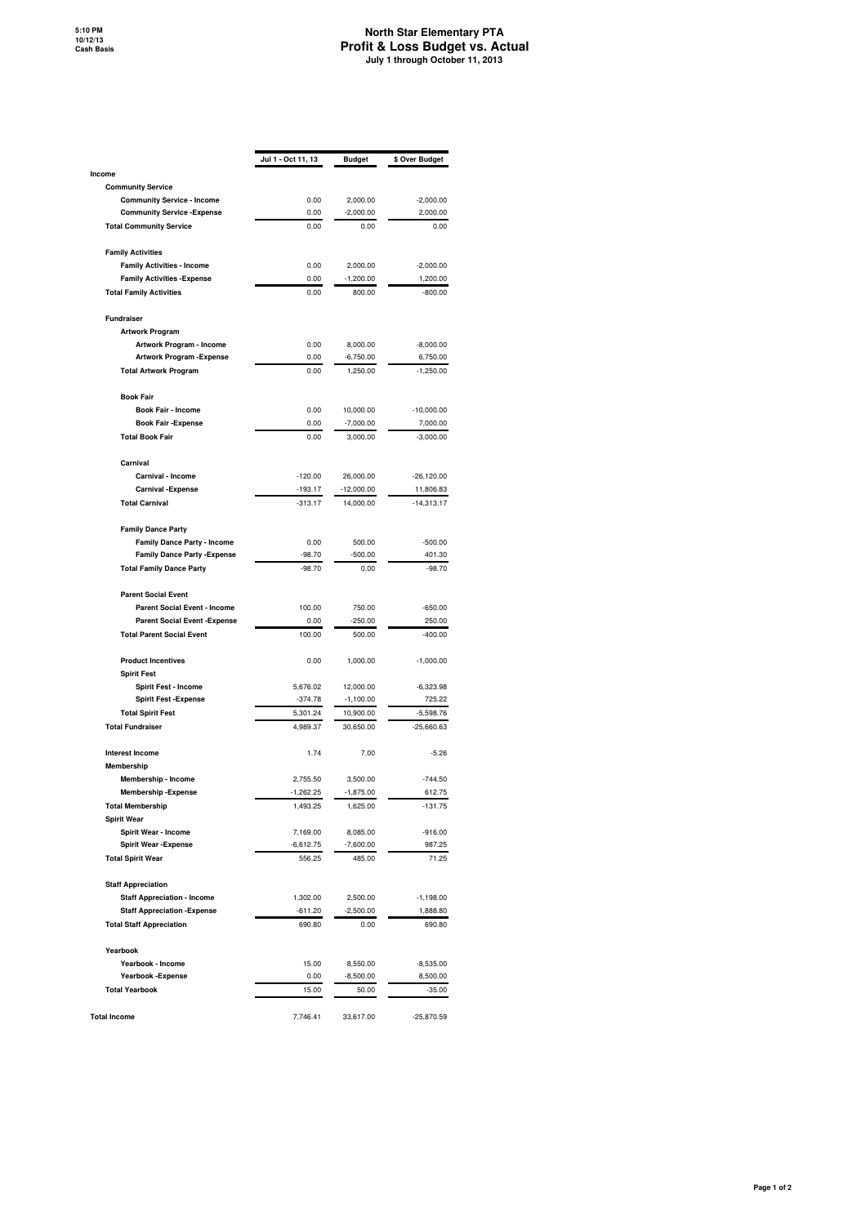## **North Star Elementary PTA Profit & Loss Budget vs. Actual July 1 through October 11, 2013**

|                                                                         | Jul 1 - Oct 11, 13 | Budget                | \$ Over Budget        |
|-------------------------------------------------------------------------|--------------------|-----------------------|-----------------------|
| Income                                                                  |                    |                       |                       |
| <b>Community Service</b>                                                |                    |                       |                       |
| <b>Community Service - Income</b>                                       | 0.00               | 2,000.00              | $-2,000.00$           |
| <b>Community Service - Expense</b>                                      | 0.00               | $-2,000.00$           | 2,000.00              |
| <b>Total Community Service</b>                                          | 0.00               | 0.00                  | 0.00                  |
| <b>Family Activities</b>                                                | 0.00               |                       |                       |
| <b>Family Activities - Income</b><br><b>Family Activities - Expense</b> | 0.00               | 2,000.00              | $-2,000.00$           |
| <b>Total Family Activities</b>                                          | 0.00               | $-1,200.00$<br>800.00 | 1,200.00<br>$-800.00$ |
|                                                                         |                    |                       |                       |
| Fundraiser                                                              |                    |                       |                       |
| <b>Artwork Program</b>                                                  |                    |                       |                       |
| Artwork Program - Income                                                | 0.00               | 8,000.00              | $-8,000.00$           |
| <b>Artwork Program - Expense</b>                                        | 0.00               | $-6,750.00$           | 6,750.00              |
| <b>Total Artwork Program</b>                                            | 0.00               | 1,250.00              | $-1,250.00$           |
| <b>Book Fair</b>                                                        |                    |                       |                       |
| <b>Book Fair - Income</b>                                               | 0.00               | 10,000.00             | $-10,000.00$          |
| <b>Book Fair - Expense</b>                                              | 0.00               | $-7,000.00$           | 7,000.00              |
| <b>Total Book Fair</b>                                                  | 0.00               | 3,000.00              | $-3,000.00$           |
| Carnival                                                                |                    |                       |                       |
| Carnival - Income                                                       | $-120.00$          | 26,000.00             | $-26,120.00$          |
| <b>Carnival -Expense</b>                                                | $-193.17$          | $-12,000.00$          | 11,806.83             |
| <b>Total Carnival</b>                                                   | $-313.17$          | 14,000.00             | $-14,313.17$          |
| <b>Family Dance Party</b>                                               |                    |                       |                       |
| <b>Family Dance Party - Income</b>                                      | 0.00               | 500.00                | $-500.00$             |
| <b>Family Dance Party - Expense</b>                                     | $-98.70$           | $-500.00$             | 401.30                |
| <b>Total Family Dance Party</b>                                         | $-98.70$           | 0.00                  | $-98.70$              |
| <b>Parent Social Event</b>                                              |                    |                       |                       |
| <b>Parent Social Event - Income</b>                                     | 100.00             | 750.00                | $-650.00$             |
| <b>Parent Social Event - Expense</b>                                    | 0.00               | $-250.00$             | 250.00                |
| <b>Total Parent Social Event</b>                                        | 100.00             | 500.00                | $-400.00$             |
| <b>Product Incentives</b>                                               | 0.00               | 1,000.00              | $-1,000.00$           |
| <b>Spirit Fest</b>                                                      |                    |                       |                       |
| Spirit Fest - Income                                                    | 5,676.02           | 12,000.00             | $-6,323.98$           |
| <b>Spirit Fest - Expense</b>                                            | $-374.78$          | $-1,100.00$           | 725.22                |
| <b>Total Spirit Fest</b>                                                | 5,301.24           | 10,900.00             | $-5,598.76$           |
| <b>Total Fundraiser</b>                                                 | 4,989.37           | 30,650.00             | $-25,660.63$          |
| <b>Interest Income</b>                                                  | 1.74               | 7.00                  | $-5.26$               |
| <b>Membership</b>                                                       |                    |                       |                       |
| Membership - Income                                                     | 2,755.50           | 3,500.00              | $-744.50$             |
| <b>Membership - Expense</b>                                             | $-1,262.25$        | $-1,875.00$           | 612.75                |
| <b>Total Membership</b>                                                 | 1,493.25           | 1,625.00              | $-131.75$             |
| <b>Spirit Wear</b>                                                      | 7,169.00           | 8,085.00              |                       |
| Spirit Wear - Income<br><b>Spirit Wear - Expense</b>                    | $-6,612.75$        | $-7,600.00$           | $-916.00$<br>987.25   |
| <b>Total Spirit Wear</b>                                                | 556.25             | 485.00                | 71.25                 |
|                                                                         |                    |                       |                       |
| <b>Staff Appreciation</b>                                               |                    |                       |                       |
| <b>Staff Appreciation - Income</b>                                      | 1,302.00           | 2,500.00              | $-1,198.00$           |
| <b>Staff Appreciation - Expense</b>                                     | $-611.20$          | $-2,500.00$           | 1,888.80              |
| <b>Total Staff Appreciation</b>                                         | 690.80             | 0.00                  | 690.80                |
| Yearbook                                                                |                    |                       |                       |
| Yearbook - Income                                                       | 15.00              | 8,550.00              | $-8,535.00$           |
| Yearbook - Expense                                                      | 0.00               | $-8,500.00$           | 8,500.00              |
| <b>Total Yearbook</b>                                                   | 15.00              | 50.00                 | $-35.00$              |
| <b>Total Income</b>                                                     | 7,746.41           | 33,617.00             | $-25,870.59$          |